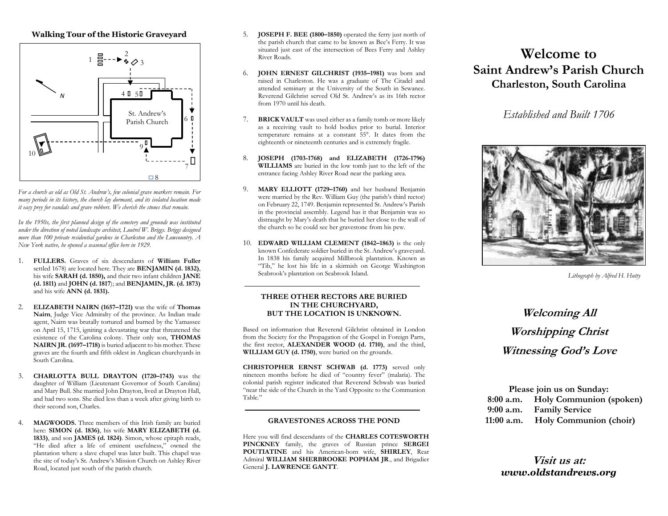### **Walking Tour of the Historic Graveyard**



*For a church as old as Old St. Andrew's, few colonial grave markers remain. For many periods in its history, the church lay dormant, and its isolated location made it easy prey for vandals and grave robbers. We cherish the stones that remain.*

*In the 1950s, the first planned design of the cemetery and grounds was instituted under the direction of noted landscape architect, Loutrel W. Briggs. Briggs designed more than 100 private residential gardens in Charleston and the Lowcountry. A New York native, he opened a seasonal office here in 1929.* 

- 1. **FULLERS.** Graves of six descendants of **William Fuller**  settled 1678) are located here. They are **BENJAMIN (d. 1832)**, his wife **SARAH (d. 1850),** and their two infant children **JANE (d. 1811)** and **JOHN (d. 1817**); and **BENJAMIN, JR. (d. 1873)**  and his wife **ANN (d. 1831).**
- 2. **ELIZABETH NAIRN (1657–1721)** was the wife of **Thomas Nairn**, Judge Vice Admiralty of the province. As Indian trade agent, Nairn was brutally tortured and burned by the Yamassee on April 15, 1715, igniting a devastating war that threatened the existence of the Carolina colony. Their only son, **THOMAS NAIRN JR. (1697–1718)** is buried adjacent to his mother. These graves are the fourth and fifth oldest in Anglican churchyards in South Carolina.
- 3. **CHARLOTTA BULL DRAYTON (1720–1743)** was the daughter of William (Lieutenant Governor of South Carolina) and Mary Bull. She married John Drayton, lived at Drayton Hall, and had two sons. She died less than a week after giving birth to their second son, Charles.
- 4. **MAGWOODS.** Three members of this Irish family are buried here: **SIMON (d. 1836)**, his wife **MARY ELIZABETH (d. 1833)**, and son **JAMES (d. 1824)**. Simon, whose epitaph reads, "He died after a life of eminent usefulness," owned the plantation where a slave chapel was later built. This chapel was the site of today's St. Andrew's Mission Church on Ashley River Road, located just south of the parish church.
- 5. **JOSEPH F. BEE (1800–1850)** operated the ferry just north of the parish church that came to be known as Bee's Ferry. It was situated just east of the intersection of Bees Ferry and Ashley River Roads.
- 6. **JOHN ERNEST GILCHRIST (1935–1981)** was born and raised in Charleston. He was a graduate of The Citadel and attended seminary at the University of the South in Sewanee. Reverend Gilchrist served Old St. Andrew's as its 16th rector from 1970 until his death.
- 7. **BRICK VAULT** was used either as a family tomb or more likely as a receiving vault to hold bodies prior to burial. Interior temperature remains at a constant 55°. It dates from the eighteenth or nineteenth centuries and is extremely fragile.
- 8. **JOSEPH (1703-1768) and ELIZABETH (1726-1796) WILLIAMS** are buried in the low tomb just to the left of the entrance facing Ashley River Road near the parking area.
- 9. **MARY ELLIOTT (1729–1760)** and her husband Benjamin were married by the Rev. William Guy (the parish's third rector) on February 22, 1749. Benjamin represented St. Andrew's Parish in the provincial assembly. Legend has it that Benjamin was so distraught by Mary's death that he buried her close to the wall of the church so he could see her gravestone from his pew.
- 10. **EDWARD WILLIAM CLEMENT (1842–1863)** is the only known Confederate soldier buried in the St. Andrew's graveyard. In 1838 his family acquired Millbrook plantation. Known as "Tib," he lost his life in a skirmish on George Washington Seabrook's plantation on Seabrook Island.

#### **THREE OTHER RECTORS ARE BURIED IN THE CHURCHYARD, BUT THE LOCATION IS UNKNOWN.**

Based on information that Reverend Gilchrist obtained in London from the Society for the Propagation of the Gospel in Foreign Parts, the first rector, **ALEXANDER WOOD (d. 1710)**, and the third, **WILLIAM GUY (d. 1750)**, were buried on the grounds.

**CHRISTOPHER ERNST SCHWAB (d. 1773)** served only nineteen months before he died of "country fever" (malaria). The colonial parish register indicated that Reverend Schwab was buried "near the side of the Church in the Yard Opposite to the Communion Table."

### **GRAVESTONES ACROSS THE POND**

Here you will find descendants of the **CHARLES COTESWORTH PINCKNEY** family, the graves of Russian prince **SERGEI POUTIATINE** and his American-born wife, **SHIRLEY**, Rear Admiral **WILLIAM SHERBROOKE POPHAM JR**., and Brigadier General **J. LAWRENCE GANTT**.

## **Welcome to Saint Andrew's Parish Church Charleston, South Carolina**

### *Established and Built 1706*



*Lithograph by Alfred H. Hutty*

# **Welcoming All Worshipping Christ Witnessing God's Love**

| Please join us on Sunday: |                                   |  |
|---------------------------|-----------------------------------|--|
|                           | 8:00 a.m. Holy Communion (spoken) |  |
| $9:00$ a.m.               | <b>Family Service</b>             |  |
| $11:00$ a.m.              | <b>Holy Communion (choir)</b>     |  |

**Visit us at:**  *www.oldstandrews.org*